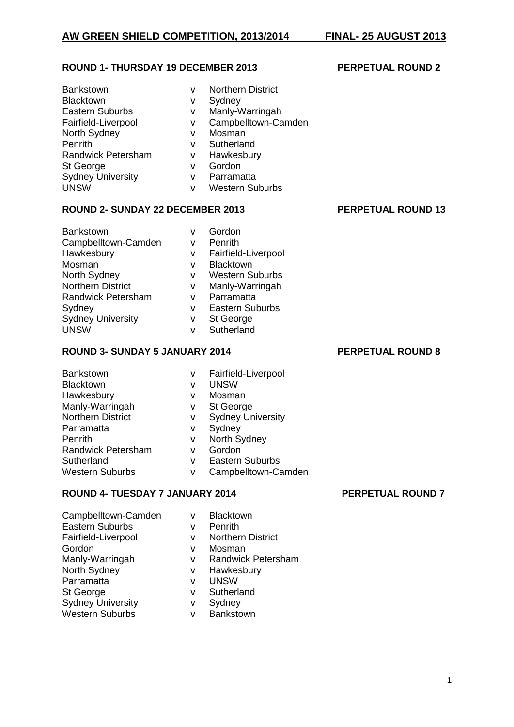### **ROUND 1- THURSDAY 19 DECEMBER 2013 PERPETUAL ROUND 2**

| <b>Bankstown</b>         | v | <b>Northern District</b> |
|--------------------------|---|--------------------------|
| <b>Blacktown</b>         | v | Sydney                   |
| <b>Eastern Suburbs</b>   | v | Manly-Warringah          |
| Fairfield-Liverpool      | v | Campbelltown-Camden      |
| North Sydney             | v | Mosman                   |
| Penrith                  | v | Sutherland               |
| Randwick Petersham       | v | Hawkesbury               |
| St George                | v | Gordon                   |
| <b>Sydney University</b> | v | Parramatta               |
| <b>UNSW</b>              | v | <b>Western Suburbs</b>   |

### **ROUND 2- SUNDAY 22 DECEMBER 2013 PERPETUAL ROUND 13**

Bankstown v Gordon Campbelltown-Camden v Penrith Hawkesbury v Fairfield-Liverpool Mosman v Blacktown<br>North Sydney v Western S Northern District v Manly-Warringah<br>Randwick Petersham v Parramatta Randwick Petersham v Sydney v Eastern Suburbs

# Sydney University v St George UNSW v Sutherland

## **ROUND 3- SUNDAY 5 JANUARY 2014 PERPETUAL ROUND 8**

| <b>Bankstown</b>          | v | Fairfield-Liverpool      |
|---------------------------|---|--------------------------|
| <b>Blacktown</b>          | v | <b>UNSW</b>              |
| Hawkesbury                | v | Mosman                   |
| Manly-Warringah           | v | St George                |
| <b>Northern District</b>  | v | <b>Sydney University</b> |
| Parramatta                | v | Sydney                   |
| <b>Penrith</b>            | v | North Sydney             |
| <b>Randwick Petersham</b> | v | Gordon                   |
| Sutherland                | v | <b>Eastern Suburbs</b>   |
| <b>Western Suburbs</b>    | v | Campbelltown-Camden      |

v Western Suburbs

# **ROUND 4- TUESDAY 7 JANUARY 2014 PERPETUAL ROUND 7**

| Campbelltown-Camden      | v | <b>Blacktown</b>          |
|--------------------------|---|---------------------------|
| <b>Eastern Suburbs</b>   | v | Penrith                   |
| Fairfield-Liverpool      | v | <b>Northern District</b>  |
| Gordon                   | v | Mosman                    |
| Manly-Warringah          | v | <b>Randwick Petersham</b> |
| North Sydney             | v | Hawkesbury                |
| Parramatta               | v | <b>UNSW</b>               |
| St George                | v | Sutherland                |
| <b>Sydney University</b> | v | Sydney                    |
| <b>Western Suburbs</b>   | v | Bankstown                 |
|                          |   |                           |